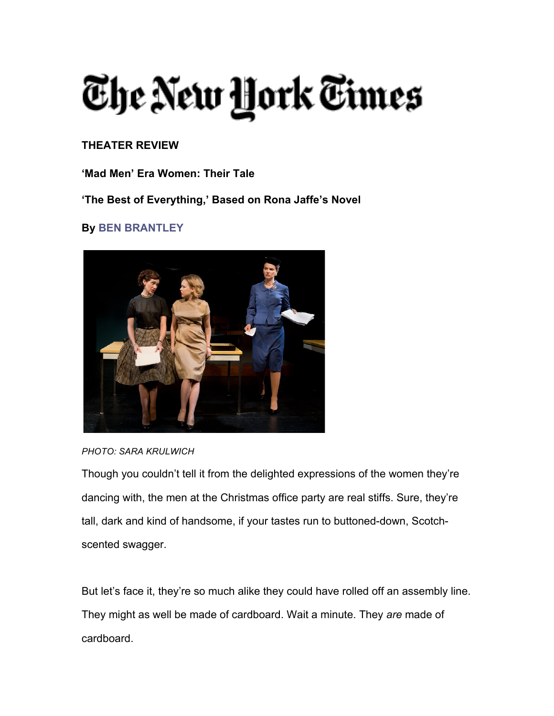## The New York Times

#### **THEATER REVIEW**

**'Mad Men' Era Women: Their Tale**

**'The Best of Everything,' Based on Rona Jaffe's Novel**

#### **By BEN BRANTLEY**



*PHOTO: SARA KRULWICH*

Though you couldn't tell it from the delighted expressions of the women they're dancing with, the men at the Christmas office party are real stiffs. Sure, they're tall, dark and kind of handsome, if your tastes run to buttoned-down, Scotchscented swagger.

But let's face it, they're so much alike they could have rolled off an assembly line. They might as well be made of cardboard. Wait a minute. They *are* made of cardboard.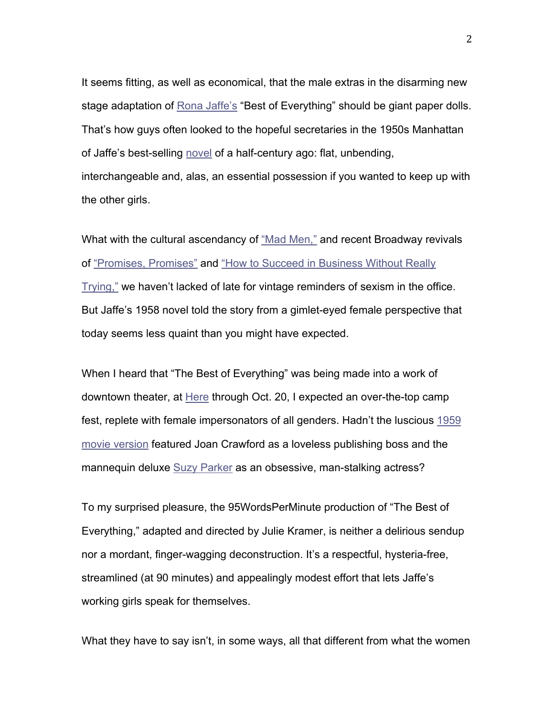It seems fitting, as well as economical, that the male extras in the disarming new stage adaptation of Rona Jaffe's "Best of Everything" should be giant paper dolls. That's how guys often looked to the hopeful secretaries in the 1950s Manhattan of Jaffe's best-selling novel of a half-century ago: flat, unbending, interchangeable and, alas, an essential possession if you wanted to keep up with the other girls.

What with the cultural ascendancy of "Mad Men," and recent Broadway revivals of "Promises, Promises" and "How to Succeed in Business Without Really Trying," we haven't lacked of late for vintage reminders of sexism in the office. But Jaffe's 1958 novel told the story from a gimlet-eyed female perspective that today seems less quaint than you might have expected.

When I heard that "The Best of Everything" was being made into a work of downtown theater, at Here through Oct. 20, I expected an over-the-top camp fest, replete with female impersonators of all genders. Hadn't the luscious 1959 movie version featured Joan Crawford as a loveless publishing boss and the mannequin deluxe Suzy Parker as an obsessive, man-stalking actress?

To my surprised pleasure, the 95WordsPerMinute production of "The Best of Everything," adapted and directed by Julie Kramer, is neither a delirious sendup nor a mordant, finger-wagging deconstruction. It's a respectful, hysteria-free, streamlined (at 90 minutes) and appealingly modest effort that lets Jaffe's working girls speak for themselves.

What they have to say isn't, in some ways, all that different from what the women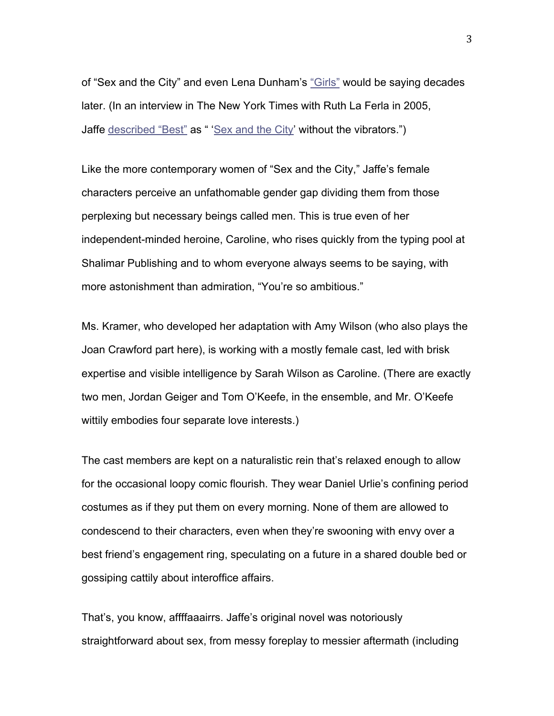of "Sex and the City" and even Lena Dunham's "Girls" would be saying decades later. (In an interview in The New York Times with Ruth La Ferla in 2005, Jaffe described "Best" as " 'Sex and the City' without the vibrators.")

Like the more contemporary women of "Sex and the City," Jaffe's female characters perceive an unfathomable gender gap dividing them from those perplexing but necessary beings called men. This is true even of her independent-minded heroine, Caroline, who rises quickly from the typing pool at Shalimar Publishing and to whom everyone always seems to be saying, with more astonishment than admiration, "You're so ambitious."

Ms. Kramer, who developed her adaptation with Amy Wilson (who also plays the Joan Crawford part here), is working with a mostly female cast, led with brisk expertise and visible intelligence by Sarah Wilson as Caroline. (There are exactly two men, Jordan Geiger and Tom O'Keefe, in the ensemble, and Mr. O'Keefe wittily embodies four separate love interests.)

The cast members are kept on a naturalistic rein that's relaxed enough to allow for the occasional loopy comic flourish. They wear Daniel Urlie's confining period costumes as if they put them on every morning. None of them are allowed to condescend to their characters, even when they're swooning with envy over a best friend's engagement ring, speculating on a future in a shared double bed or gossiping cattily about interoffice affairs.

That's, you know, affffaaairrs. Jaffe's original novel was notoriously straightforward about sex, from messy foreplay to messier aftermath (including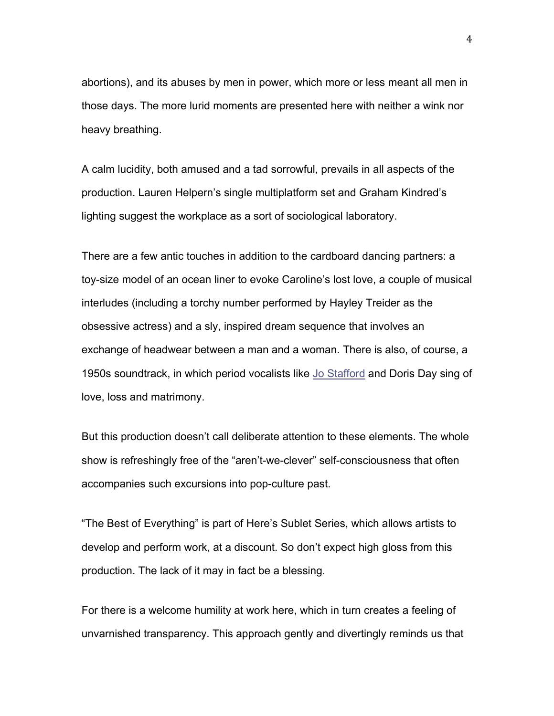abortions), and its abuses by men in power, which more or less meant all men in those days. The more lurid moments are presented here with neither a wink nor heavy breathing.

A calm lucidity, both amused and a tad sorrowful, prevails in all aspects of the production. Lauren Helpern's single multiplatform set and Graham Kindred's lighting suggest the workplace as a sort of sociological laboratory.

There are a few antic touches in addition to the cardboard dancing partners: a toy-size model of an ocean liner to evoke Caroline's lost love, a couple of musical interludes (including a torchy number performed by Hayley Treider as the obsessive actress) and a sly, inspired dream sequence that involves an exchange of headwear between a man and a woman. There is also, of course, a 1950s soundtrack, in which period vocalists like Jo Stafford and Doris Day sing of love, loss and matrimony.

But this production doesn't call deliberate attention to these elements. The whole show is refreshingly free of the "aren't-we-clever" self-consciousness that often accompanies such excursions into pop-culture past.

"The Best of Everything" is part of Here's Sublet Series, which allows artists to develop and perform work, at a discount. So don't expect high gloss from this production. The lack of it may in fact be a blessing.

For there is a welcome humility at work here, which in turn creates a feeling of unvarnished transparency. This approach gently and divertingly reminds us that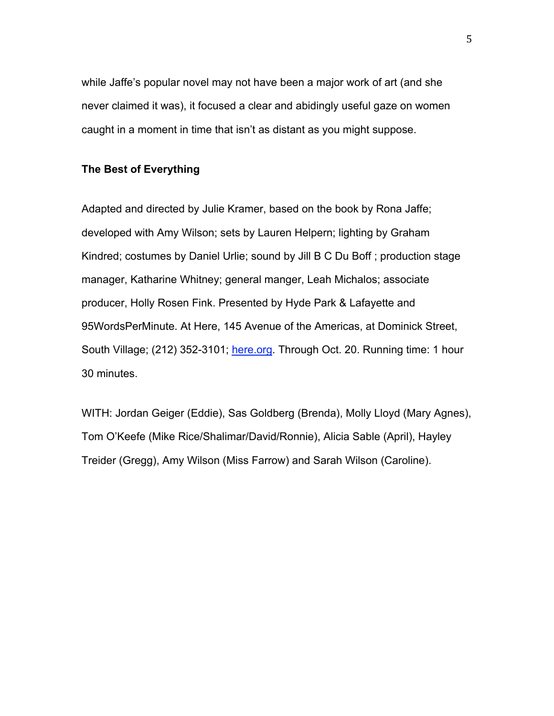while Jaffe's popular novel may not have been a major work of art (and she never claimed it was), it focused a clear and abidingly useful gaze on women caught in a moment in time that isn't as distant as you might suppose.

#### **The Best of Everything**

Adapted and directed by Julie Kramer, based on the book by Rona Jaffe; developed with Amy Wilson; sets by Lauren Helpern; lighting by Graham Kindred; costumes by Daniel Urlie; sound by Jill B C Du Boff ; production stage manager, Katharine Whitney; general manger, Leah Michalos; associate producer, Holly Rosen Fink. Presented by Hyde Park & Lafayette and 95WordsPerMinute. At Here, 145 Avenue of the Americas, at Dominick Street, South Village; (212) 352-3101; here.org. Through Oct. 20. Running time: 1 hour 30 minutes.

WITH: Jordan Geiger (Eddie), Sas Goldberg (Brenda), Molly Lloyd (Mary Agnes), Tom O'Keefe (Mike Rice/Shalimar/David/Ronnie), Alicia Sable (April), Hayley Treider (Gregg), Amy Wilson (Miss Farrow) and Sarah Wilson (Caroline).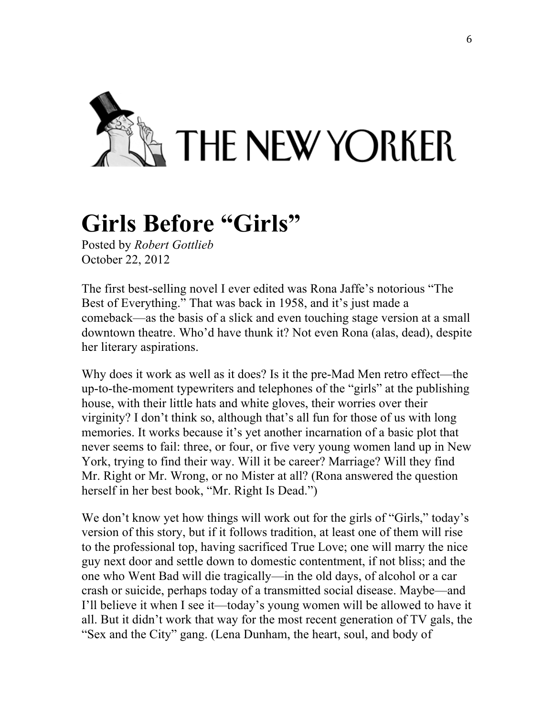

## **Girls Before "Girls"**

Posted by *Robert Gottlieb* October 22, 2012

The first best-selling novel I ever edited was Rona Jaffe's notorious "The Best of Everything." That was back in 1958, and it's just made a comeback—as the basis of a slick and even touching stage version at a small downtown theatre. Who'd have thunk it? Not even Rona (alas, dead), despite her literary aspirations.

Why does it work as well as it does? Is it the pre-Mad Men retro effect—the up-to-the-moment typewriters and telephones of the "girls" at the publishing house, with their little hats and white gloves, their worries over their virginity? I don't think so, although that's all fun for those of us with long memories. It works because it's yet another incarnation of a basic plot that never seems to fail: three, or four, or five very young women land up in New York, trying to find their way. Will it be career? Marriage? Will they find Mr. Right or Mr. Wrong, or no Mister at all? (Rona answered the question herself in her best book, "Mr. Right Is Dead.")

We don't know yet how things will work out for the girls of "Girls," today's version of this story, but if it follows tradition, at least one of them will rise to the professional top, having sacrificed True Love; one will marry the nice guy next door and settle down to domestic contentment, if not bliss; and the one who Went Bad will die tragically—in the old days, of alcohol or a car crash or suicide, perhaps today of a transmitted social disease. Maybe—and I'll believe it when I see it—today's young women will be allowed to have it all. But it didn't work that way for the most recent generation of TV gals, the "Sex and the City" gang. (Lena Dunham, the heart, soul, and body of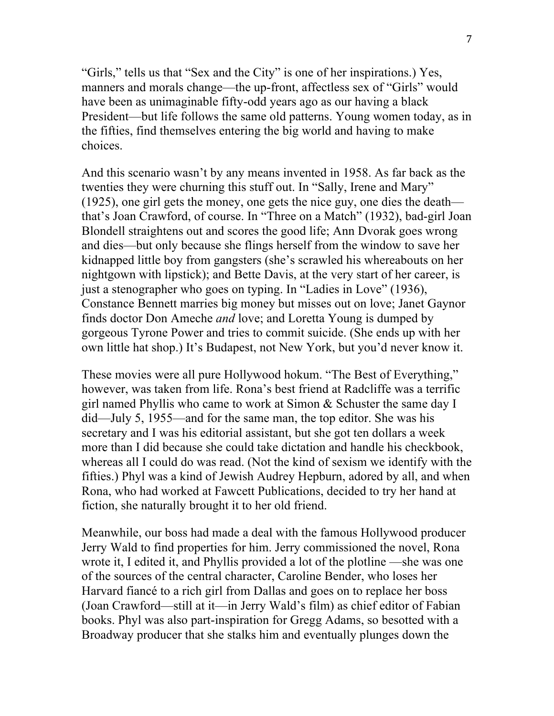"Girls," tells us that "Sex and the City" is one of her inspirations.) Yes, manners and morals change—the up-front, affectless sex of "Girls" would have been as unimaginable fifty-odd years ago as our having a black President—but life follows the same old patterns. Young women today, as in the fifties, find themselves entering the big world and having to make choices.

And this scenario wasn't by any means invented in 1958. As far back as the twenties they were churning this stuff out. In "Sally, Irene and Mary" (1925), one girl gets the money, one gets the nice guy, one dies the death that's Joan Crawford, of course. In "Three on a Match" (1932), bad-girl Joan Blondell straightens out and scores the good life; Ann Dvorak goes wrong and dies—but only because she flings herself from the window to save her kidnapped little boy from gangsters (she's scrawled his whereabouts on her nightgown with lipstick); and Bette Davis, at the very start of her career, is just a stenographer who goes on typing. In "Ladies in Love" (1936), Constance Bennett marries big money but misses out on love; Janet Gaynor finds doctor Don Ameche *and* love; and Loretta Young is dumped by gorgeous Tyrone Power and tries to commit suicide. (She ends up with her own little hat shop.) It's Budapest, not New York, but you'd never know it.

These movies were all pure Hollywood hokum. "The Best of Everything," however, was taken from life. Rona's best friend at Radcliffe was a terrific girl named Phyllis who came to work at Simon & Schuster the same day I did—July 5, 1955—and for the same man, the top editor. She was his secretary and I was his editorial assistant, but she got ten dollars a week more than I did because she could take dictation and handle his checkbook, whereas all I could do was read. (Not the kind of sexism we identify with the fifties.) Phyl was a kind of Jewish Audrey Hepburn, adored by all, and when Rona, who had worked at Fawcett Publications, decided to try her hand at fiction, she naturally brought it to her old friend.

Meanwhile, our boss had made a deal with the famous Hollywood producer Jerry Wald to find properties for him. Jerry commissioned the novel, Rona wrote it, I edited it, and Phyllis provided a lot of the plotline —she was one of the sources of the central character, Caroline Bender, who loses her Harvard fiancé to a rich girl from Dallas and goes on to replace her boss (Joan Crawford—still at it—in Jerry Wald's film) as chief editor of Fabian books. Phyl was also part-inspiration for Gregg Adams, so besotted with a Broadway producer that she stalks him and eventually plunges down the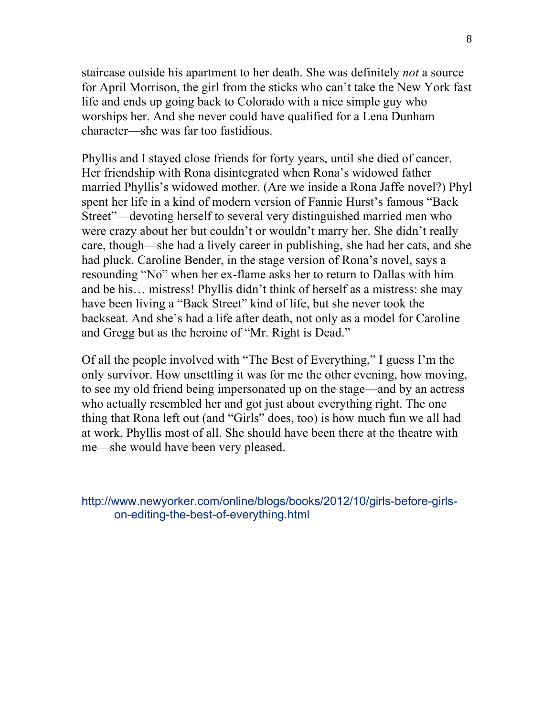staircase outside his apartment to her death. She was definitely *not* a source for April Morrison, the girl from the sticks who can't take the New York fast life and ends up going back to Colorado with a nice simple guy who worships her. And she never could have qualified for a Lena Dunham character—she was far too fastidious.

Phyllis and I stayed close friends for forty years, until she died of cancer. Her friendship with Rona disintegrated when Rona's widowed father married Phyllis's widowed mother. (Are we inside a Rona Jaffe novel?) Phyl spent her life in a kind of modern version of Fannie Hurst's famous "Back Street"—devoting herself to several very distinguished married men who were crazy about her but couldn't or wouldn't marry her. She didn't really care, though—she had a lively career in publishing, she had her cats, and she had pluck. Caroline Bender, in the stage version of Rona's novel, says a resounding "No" when her ex-flame asks her to return to Dallas with him and be his… mistress! Phyllis didn't think of herself as a mistress: she may have been living a "Back Street" kind of life, but she never took the backseat. And she's had a life after death, not only as a model for Caroline and Gregg but as the heroine of "Mr. Right is Dead."

Of all the people involved with "The Best of Everything," I guess I'm the only survivor. How unsettling it was for me the other evening, how moving, to see my old friend being impersonated up on the stage—and by an actress who actually resembled her and got just about everything right. The one thing that Rona left out (and "Girls" does, too) is how much fun we all had at work, Phyllis most of all. She should have been there at the theatre with me—she would have been very pleased.

http://www.newyorker.com/online/blogs/books/2012/10/girls-before-girlson-editing-the-best-of-everything.html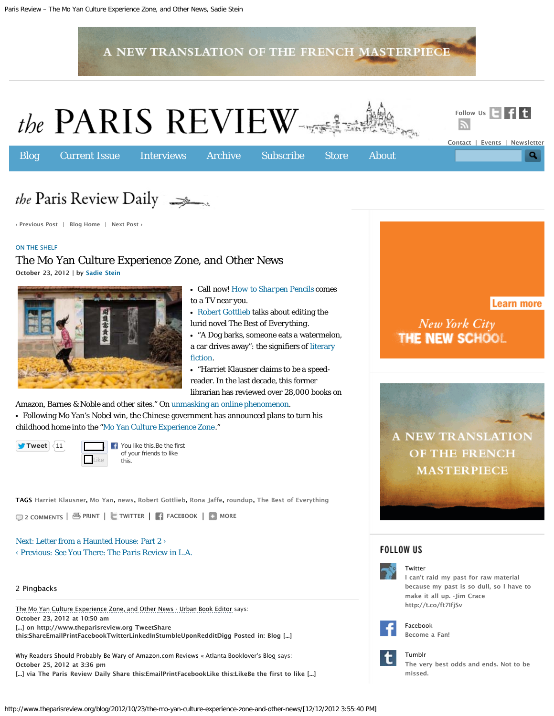<span id="page-8-0"></span>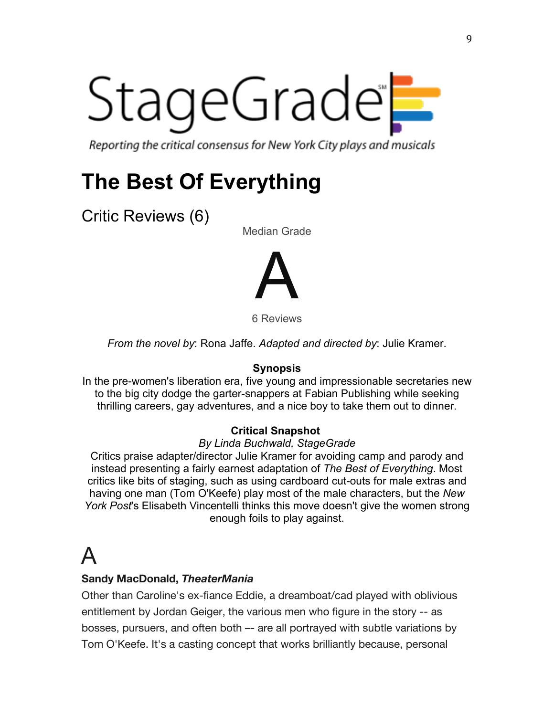# StageGrade®

Reporting the critical consensus for New York City plays and musicals

## **The Best Of Everything**

Critic Reviews (6)

Median Grade



6 Reviews

*From the novel by*: Rona Jaffe. *Adapted and directed by*: Julie Kramer.

#### **Synopsis**

In the pre-women's liberation era, five young and impressionable secretaries new to the big city dodge the garter-snappers at Fabian Publishing while seeking thrilling careers, gay adventures, and a nice boy to take them out to dinner.

#### **Critical Snapshot**

#### *By Linda Buchwald, StageGrade*

Critics praise adapter/director Julie Kramer for avoiding camp and parody and instead presenting a fairly earnest adaptation of *The Best of Everything*. Most critics like bits of staging, such as using cardboard cut-outs for male extras and having one man (Tom O'Keefe) play most of the male characters, but the *New York Post*'s Elisabeth Vincentelli thinks this move doesn't give the women strong enough foils to play against.

## $\blacktriangle$

#### **Sandy MacDonald,** *TheaterMania*

Other than Caroline's ex-fiance Eddie, a dreamboat/cad played with oblivious entitlement by Jordan Geiger, the various men who figure in the story -- as bosses, pursuers, and often both –- are all portrayed with subtle variations by Tom O'Keefe. It's a casting concept that works brilliantly because, personal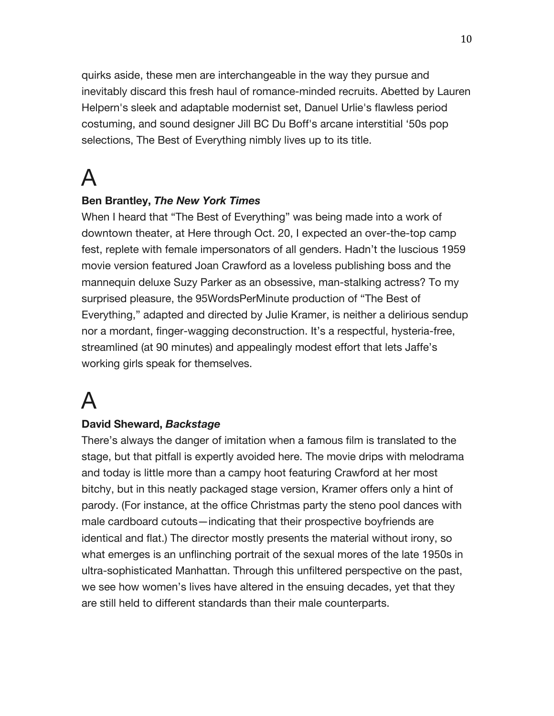quirks aside, these men are interchangeable in the way they pursue and inevitably discard this fresh haul of romance-minded recruits. Abetted by Lauren Helpern's sleek and adaptable modernist set, Danuel Urlie's flawless period costuming, and sound designer Jill BC Du Boff's arcane interstitial '50s pop selections, The Best of Everything nimbly lives up to its title.

## A

#### **Ben Brantley,** *The New York Times*

When I heard that "The Best of Everything" was being made into a work of downtown theater, at Here through Oct. 20, I expected an over-the-top camp fest, replete with female impersonators of all genders. Hadn't the luscious 1959 movie version featured Joan Crawford as a loveless publishing boss and the mannequin deluxe Suzy Parker as an obsessive, man-stalking actress? To my surprised pleasure, the 95WordsPerMinute production of "The Best of Everything," adapted and directed by Julie Kramer, is neither a delirious sendup nor a mordant, finger-wagging deconstruction. It's a respectful, hysteria-free, streamlined (at 90 minutes) and appealingly modest effort that lets Jaffe's working girls speak for themselves.

## A

#### **David Sheward,** *Backstage*

There's always the danger of imitation when a famous film is translated to the stage, but that pitfall is expertly avoided here. The movie drips with melodrama and today is little more than a campy hoot featuring Crawford at her most bitchy, but in this neatly packaged stage version, Kramer offers only a hint of parody. (For instance, at the office Christmas party the steno pool dances with male cardboard cutouts—indicating that their prospective boyfriends are identical and flat.) The director mostly presents the material without irony, so what emerges is an unflinching portrait of the sexual mores of the late 1950s in ultra-sophisticated Manhattan. Through this unfiltered perspective on the past, we see how women's lives have altered in the ensuing decades, yet that they are still held to different standards than their male counterparts.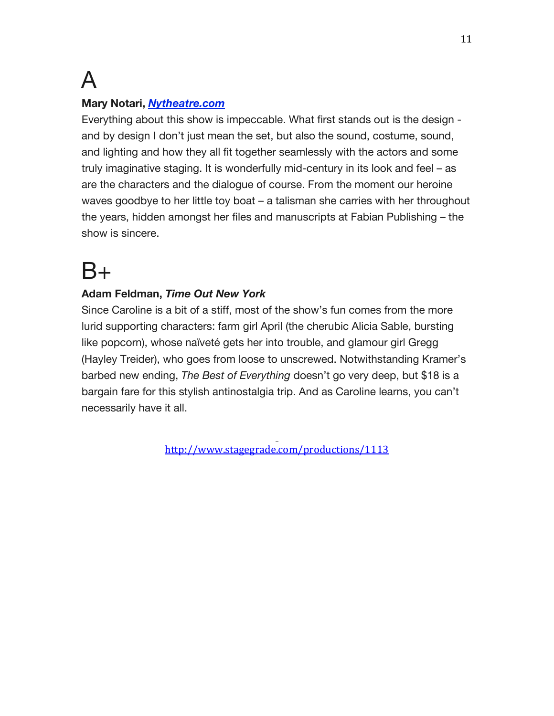## A

#### **Mary Notari,** *Nytheatre.com*

Everything about this show is impeccable. What first stands out is the design and by design I don't just mean the set, but also the sound, costume, sound, and lighting and how they all fit together seamlessly with the actors and some truly imaginative staging. It is wonderfully mid-century in its look and feel – as are the characters and the dialogue of course. From the moment our heroine waves goodbye to her little toy boat – a talisman she carries with her throughout the years, hidden amongst her files and manuscripts at Fabian Publishing – the show is sincere.

## $B+$

#### **Adam Feldman,** *Time Out New York*

Since Caroline is a bit of a stiff, most of the show's fun comes from the more lurid supporting characters: farm girl April (the cherubic Alicia Sable, bursting like popcorn), whose naïveté gets her into trouble, and glamour girl Gregg (Hayley Treider), who goes from loose to unscrewed. Notwithstanding Kramer's barbed new ending, *The Best of Everything* doesn't go very deep, but \$18 is a bargain fare for this stylish antinostalgia trip. And as Caroline learns, you can't necessarily have it all.

http://www.stagegrade.com/productions/1113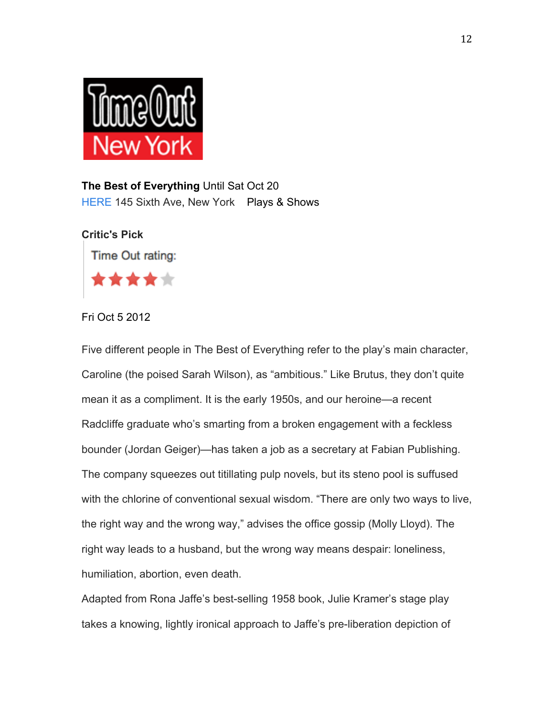

**The Best of Everything** Until Sat Oct 20 HERE 145 Sixth Ave, New York Plays & Shows



Fri Oct 5 2012

Five different people in The Best of Everything refer to the play's main character, Caroline (the poised Sarah Wilson), as "ambitious." Like Brutus, they don't quite mean it as a compliment. It is the early 1950s, and our heroine—a recent Radcliffe graduate who's smarting from a broken engagement with a feckless bounder (Jordan Geiger)—has taken a job as a secretary at Fabian Publishing. The company squeezes out titillating pulp novels, but its steno pool is suffused with the chlorine of conventional sexual wisdom. "There are only two ways to live, the right way and the wrong way," advises the office gossip (Molly Lloyd). The right way leads to a husband, but the wrong way means despair: loneliness, humiliation, abortion, even death.

Adapted from Rona Jaffe's best-selling 1958 book, Julie Kramer's stage play takes a knowing, lightly ironical approach to Jaffe's pre-liberation depiction of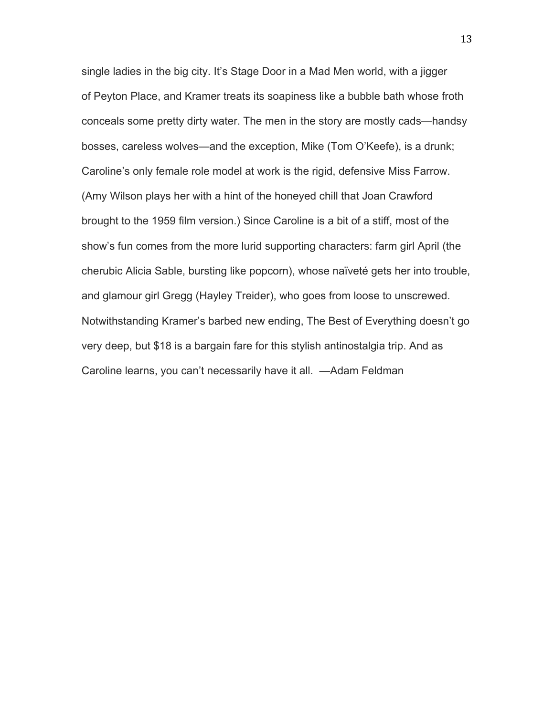single ladies in the big city. It's Stage Door in a Mad Men world, with a jigger of Peyton Place, and Kramer treats its soapiness like a bubble bath whose froth conceals some pretty dirty water. The men in the story are mostly cads—handsy bosses, careless wolves—and the exception, Mike (Tom O'Keefe), is a drunk; Caroline's only female role model at work is the rigid, defensive Miss Farrow. (Amy Wilson plays her with a hint of the honeyed chill that Joan Crawford brought to the 1959 film version.) Since Caroline is a bit of a stiff, most of the show's fun comes from the more lurid supporting characters: farm girl April (the cherubic Alicia Sable, bursting like popcorn), whose naïveté gets her into trouble, and glamour girl Gregg (Hayley Treider), who goes from loose to unscrewed. Notwithstanding Kramer's barbed new ending, The Best of Everything doesn't go very deep, but \$18 is a bargain fare for this stylish antinostalgia trip. And as Caroline learns, you can't necessarily have it all. —Adam Feldman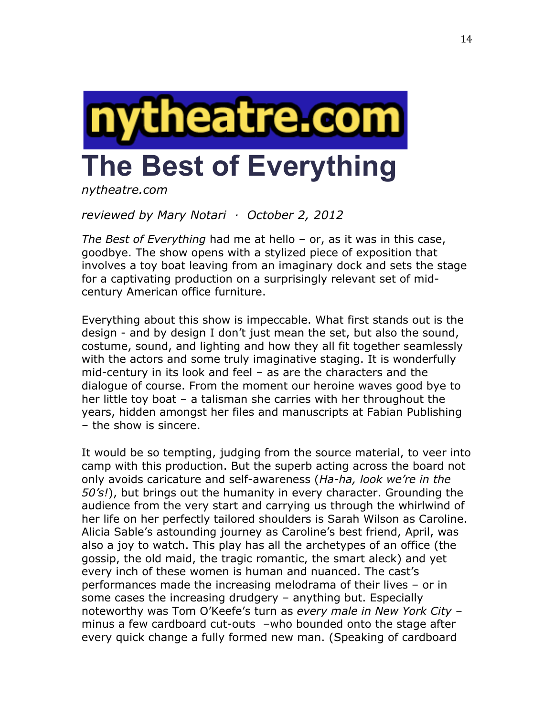

*nytheatre.com* 

*reviewed by Mary Notari · October 2, 2012*

*The Best of Everything* had me at hello – or, as it was in this case, goodbye. The show opens with a stylized piece of exposition that involves a toy boat leaving from an imaginary dock and sets the stage for a captivating production on a surprisingly relevant set of midcentury American office furniture.

Everything about this show is impeccable. What first stands out is the design - and by design I don't just mean the set, but also the sound, costume, sound, and lighting and how they all fit together seamlessly with the actors and some truly imaginative staging. It is wonderfully mid-century in its look and feel – as are the characters and the dialogue of course. From the moment our heroine waves good bye to her little toy boat – a talisman she carries with her throughout the years, hidden amongst her files and manuscripts at Fabian Publishing – the show is sincere.

It would be so tempting, judging from the source material, to veer into camp with this production. But the superb acting across the board not only avoids caricature and self-awareness (*Ha-ha, look we're in the 50's!*), but brings out the humanity in every character. Grounding the audience from the very start and carrying us through the whirlwind of her life on her perfectly tailored shoulders is Sarah Wilson as Caroline. Alicia Sable's astounding journey as Caroline's best friend, April, was also a joy to watch. This play has all the archetypes of an office (the gossip, the old maid, the tragic romantic, the smart aleck) and yet every inch of these women is human and nuanced. The cast's performances made the increasing melodrama of their lives – or in some cases the increasing drudgery – anything but. Especially noteworthy was Tom O'Keefe's turn as *every male in New York City* – minus a few cardboard cut-outs –who bounded onto the stage after every quick change a fully formed new man. (Speaking of cardboard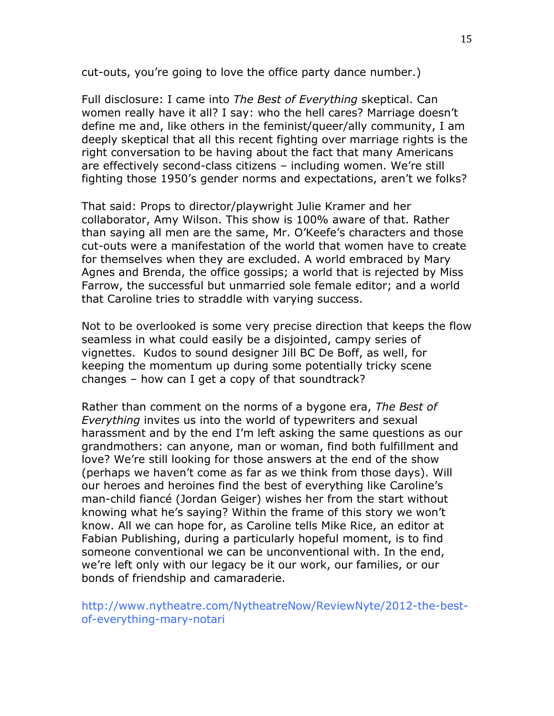cut-outs, you're going to love the office party dance number.)

Full disclosure: I came into *The Best of Everything* skeptical. Can women really have it all? I say: who the hell cares? Marriage doesn't define me and, like others in the feminist/queer/ally community, I am deeply skeptical that all this recent fighting over marriage rights is the right conversation to be having about the fact that many Americans are effectively second-class citizens – including women. We're still fighting those 1950's gender norms and expectations, aren't we folks?

That said: Props to director/playwright Julie Kramer and her collaborator, Amy Wilson. This show is 100% aware of that. Rather than saying all men are the same, Mr. O'Keefe's characters and those cut-outs were a manifestation of the world that women have to create for themselves when they are excluded. A world embraced by Mary Agnes and Brenda, the office gossips; a world that is rejected by Miss Farrow, the successful but unmarried sole female editor; and a world that Caroline tries to straddle with varying success.

Not to be overlooked is some very precise direction that keeps the flow seamless in what could easily be a disjointed, campy series of vignettes. Kudos to sound designer Jill BC De Boff, as well, for keeping the momentum up during some potentially tricky scene changes – how can I get a copy of that soundtrack?

Rather than comment on the norms of a bygone era, *The Best of Everything* invites us into the world of typewriters and sexual harassment and by the end I'm left asking the same questions as our grandmothers: can anyone, man or woman, find both fulfillment and love? We're still looking for those answers at the end of the show (perhaps we haven't come as far as we think from those days). Will our heroes and heroines find the best of everything like Caroline's man-child fiancé (Jordan Geiger) wishes her from the start without knowing what he's saying? Within the frame of this story we won't know. All we can hope for, as Caroline tells Mike Rice, an editor at Fabian Publishing, during a particularly hopeful moment, is to find someone conventional we can be unconventional with. In the end, we're left only with our legacy be it our work, our families, or our bonds of friendship and camaraderie.

http://www.nytheatre.com/NytheatreNow/ReviewNyte/2012-the-bestof-everything-mary-notari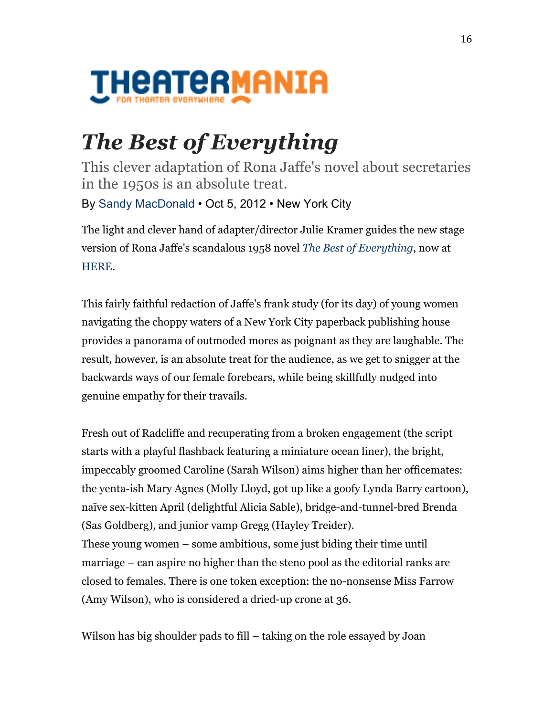

## *The Best of Everything*

This clever adaptation of Rona Jaffe's novel about secretaries in the 1950s is an absolute treat.

By Sandy MacDonald • Oct 5, 2012 • New York City

The light and clever hand of adapter/director Julie Kramer guides the new stage version of Rona Jaffe's scandalous 1958 novel *The Best of Everything*, now at HERE.

This fairly faithful redaction of Jaffe's frank study (for its day) of young women navigating the choppy waters of a New York City paperback publishing house provides a panorama of outmoded mores as poignant as they are laughable. The result, however, is an absolute treat for the audience, as we get to snigger at the backwards ways of our female forebears, while being skillfully nudged into genuine empathy for their travails.

Fresh out of Radcliffe and recuperating from a broken engagement (the script starts with a playful flashback featuring a miniature ocean liner), the bright, impeccably groomed Caroline (Sarah Wilson) aims higher than her officemates: the yenta-ish Mary Agnes (Molly Lloyd, got up like a goofy Lynda Barry cartoon), naïve sex-kitten April (delightful Alicia Sable), bridge-and-tunnel-bred Brenda (Sas Goldberg), and junior vamp Gregg (Hayley Treider). These young women – some ambitious, some just biding their time until marriage – can aspire no higher than the steno pool as the editorial ranks are closed to females. There is one token exception: the no-nonsense Miss Farrow (Amy Wilson), who is considered a dried-up crone at 36.

Wilson has big shoulder pads to fill – taking on the role essayed by Joan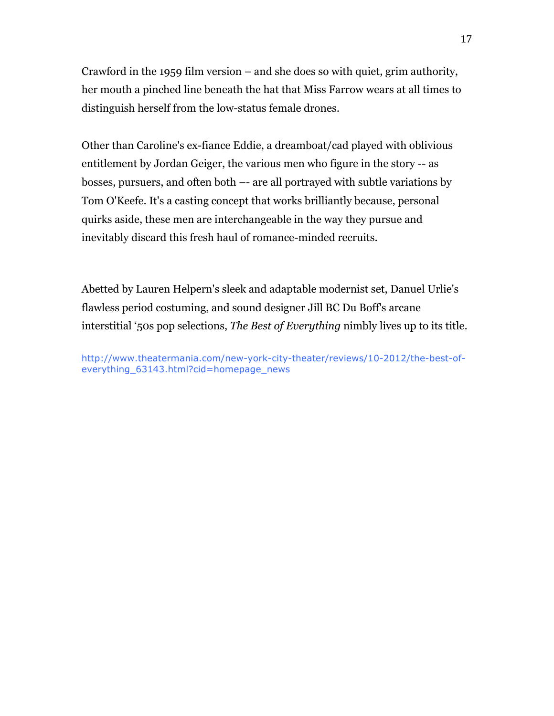Crawford in the 1959 film version – and she does so with quiet, grim authority, her mouth a pinched line beneath the hat that Miss Farrow wears at all times to distinguish herself from the low-status female drones.

Other than Caroline's ex-fiance Eddie, a dreamboat/cad played with oblivious entitlement by Jordan Geiger, the various men who figure in the story -- as bosses, pursuers, and often both –- are all portrayed with subtle variations by Tom O'Keefe. It's a casting concept that works brilliantly because, personal quirks aside, these men are interchangeable in the way they pursue and inevitably discard this fresh haul of romance-minded recruits.

Abetted by Lauren Helpern's sleek and adaptable modernist set, Danuel Urlie's flawless period costuming, and sound designer Jill BC Du Boff's arcane interstitial '50s pop selections, *The Best of Everything* nimbly lives up to its title.

http://www.theatermania.com/new-york-city-theater/reviews/10-2012/the-best-ofeverything 63143.html?cid=homepage\_news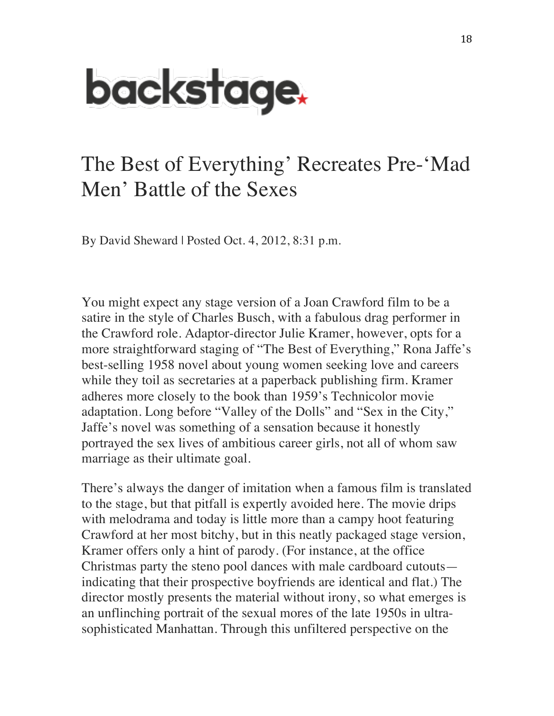

## The Best of Everything' Recreates Pre-'Mad Men' Battle of the Sexes

By David Sheward | Posted Oct. 4, 2012, 8:31 p.m.

You might expect any stage version of a Joan Crawford film to be a satire in the style of Charles Busch, with a fabulous drag performer in the Crawford role. Adaptor-director Julie Kramer, however, opts for a more straightforward staging of "The Best of Everything," Rona Jaffe's best-selling 1958 novel about young women seeking love and careers while they toil as secretaries at a paperback publishing firm. Kramer adheres more closely to the book than 1959's Technicolor movie adaptation. Long before "Valley of the Dolls" and "Sex in the City," Jaffe's novel was something of a sensation because it honestly portrayed the sex lives of ambitious career girls, not all of whom saw marriage as their ultimate goal.

There's always the danger of imitation when a famous film is translated to the stage, but that pitfall is expertly avoided here. The movie drips with melodrama and today is little more than a campy hoot featuring Crawford at her most bitchy, but in this neatly packaged stage version, Kramer offers only a hint of parody. (For instance, at the office Christmas party the steno pool dances with male cardboard cutouts indicating that their prospective boyfriends are identical and flat.) The director mostly presents the material without irony, so what emerges is an unflinching portrait of the sexual mores of the late 1950s in ultrasophisticated Manhattan. Through this unfiltered perspective on the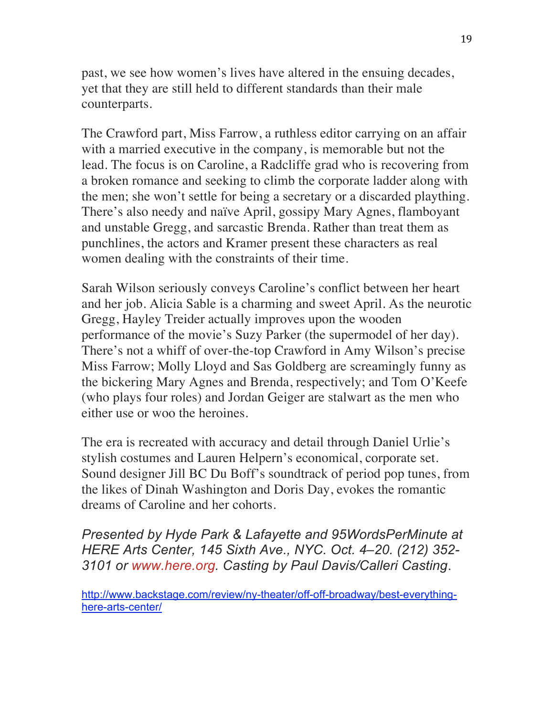past, we see how women's lives have altered in the ensuing decades, yet that they are still held to different standards than their male counterparts.

The Crawford part, Miss Farrow, a ruthless editor carrying on an affair with a married executive in the company, is memorable but not the lead. The focus is on Caroline, a Radcliffe grad who is recovering from a broken romance and seeking to climb the corporate ladder along with the men; she won't settle for being a secretary or a discarded plaything. There's also needy and naïve April, gossipy Mary Agnes, flamboyant and unstable Gregg, and sarcastic Brenda. Rather than treat them as punchlines, the actors and Kramer present these characters as real women dealing with the constraints of their time.

Sarah Wilson seriously conveys Caroline's conflict between her heart and her job. Alicia Sable is a charming and sweet April. As the neurotic Gregg, Hayley Treider actually improves upon the wooden performance of the movie's Suzy Parker (the supermodel of her day). There's not a whiff of over-the-top Crawford in Amy Wilson's precise Miss Farrow; Molly Lloyd and Sas Goldberg are screamingly funny as the bickering Mary Agnes and Brenda, respectively; and Tom O'Keefe (who plays four roles) and Jordan Geiger are stalwart as the men who either use or woo the heroines.

The era is recreated with accuracy and detail through Daniel Urlie's stylish costumes and Lauren Helpern's economical, corporate set. Sound designer Jill BC Du Boff's soundtrack of period pop tunes, from the likes of Dinah Washington and Doris Day, evokes the romantic dreams of Caroline and her cohorts.

*Presented by Hyde Park & Lafayette and 95WordsPerMinute at HERE Arts Center, 145 Sixth Ave., NYC. Oct. 4–20. (212) 352- 3101 or www.here.org. Casting by Paul Davis/Calleri Casting*.

http://www.backstage.com/review/ny-theater/off-off-broadway/best-everythinghere-arts-center/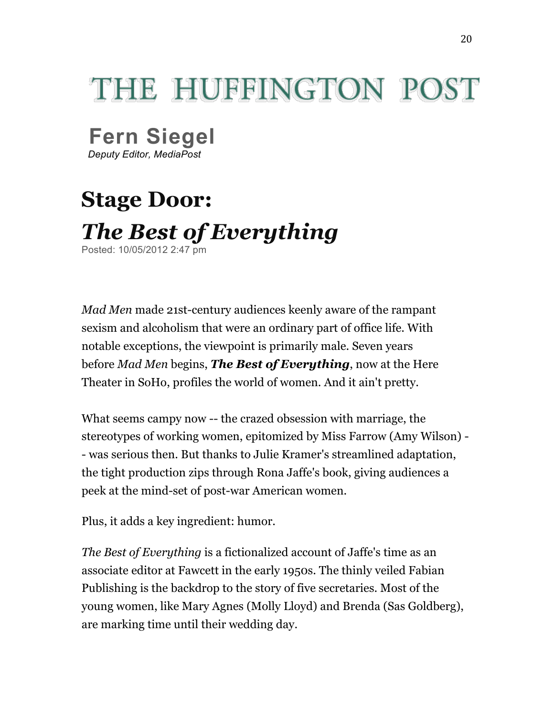## THE HUEEINGTON POST

**Fern Siegel**

*Deputy Editor, MediaPost*

## **Stage Door:** *The Best of Everything* Posted: 10/05/2012 2:47 pm

*Mad Men* made 21st-century audiences keenly aware of the rampant sexism and alcoholism that were an ordinary part of office life. With notable exceptions, the viewpoint is primarily male. Seven years before *Mad Men* begins, *The Best of Everything*, now at the Here Theater in SoHo, profiles the world of women. And it ain't pretty.

What seems campy now -- the crazed obsession with marriage, the stereotypes of working women, epitomized by Miss Farrow (Amy Wilson) - - was serious then. But thanks to Julie Kramer's streamlined adaptation, the tight production zips through Rona Jaffe's book, giving audiences a peek at the mind-set of post-war American women.

Plus, it adds a key ingredient: humor.

*The Best of Everything* is a fictionalized account of Jaffe's time as an associate editor at Fawcett in the early 1950s. The thinly veiled Fabian Publishing is the backdrop to the story of five secretaries. Most of the young women, like Mary Agnes (Molly Lloyd) and Brenda (Sas Goldberg), are marking time until their wedding day.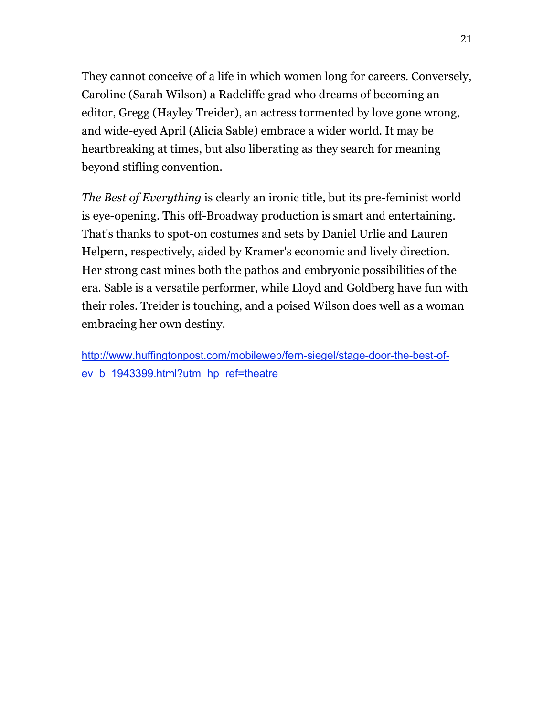They cannot conceive of a life in which women long for careers. Conversely, Caroline (Sarah Wilson) a Radcliffe grad who dreams of becoming an editor, Gregg (Hayley Treider), an actress tormented by love gone wrong, and wide-eyed April (Alicia Sable) embrace a wider world. It may be heartbreaking at times, but also liberating as they search for meaning beyond stifling convention.

*The Best of Everything* is clearly an ironic title, but its pre-feminist world is eye-opening. This off-Broadway production is smart and entertaining. That's thanks to spot-on costumes and sets by Daniel Urlie and Lauren Helpern, respectively, aided by Kramer's economic and lively direction. Her strong cast mines both the pathos and embryonic possibilities of the era. Sable is a versatile performer, while Lloyd and Goldberg have fun with their roles. Treider is touching, and a poised Wilson does well as a woman embracing her own destiny.

http://www.huffingtonpost.com/mobileweb/fern-siegel/stage-door-the-best-ofev\_b\_1943399.html?utm\_hp\_ref=theatre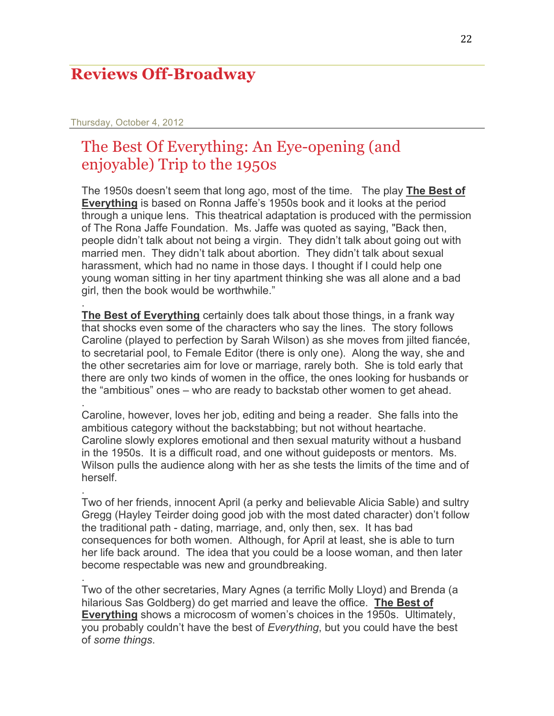#### **Reviews Off-Broadway**

#### Thursday, October 4, 2012

.

.

.

.

#### The Best Of Everything: An Eye-opening (and enjoyable) Trip to the 1950s

The 1950s doesn't seem that long ago, most of the time. The play **The Best of Everything** is based on Ronna Jaffe's 1950s book and it looks at the period through a unique lens. This theatrical adaptation is produced with the permission of The Rona Jaffe Foundation. Ms. Jaffe was quoted as saying, "Back then, people didn't talk about not being a virgin. They didn't talk about going out with married men. They didn't talk about abortion. They didn't talk about sexual harassment, which had no name in those days. I thought if I could help one young woman sitting in her tiny apartment thinking she was all alone and a bad girl, then the book would be worthwhile."

**The Best of Everything** certainly does talk about those things, in a frank way that shocks even some of the characters who say the lines. The story follows Caroline (played to perfection by Sarah Wilson) as she moves from jilted fiancée, to secretarial pool, to Female Editor (there is only one). Along the way, she and the other secretaries aim for love or marriage, rarely both. She is told early that there are only two kinds of women in the office, the ones looking for husbands or the "ambitious" ones – who are ready to backstab other women to get ahead.

Caroline, however, loves her job, editing and being a reader. She falls into the ambitious category without the backstabbing; but not without heartache. Caroline slowly explores emotional and then sexual maturity without a husband in the 1950s. It is a difficult road, and one without guideposts or mentors. Ms. Wilson pulls the audience along with her as she tests the limits of the time and of herself.

Two of her friends, innocent April (a perky and believable Alicia Sable) and sultry Gregg (Hayley Teirder doing good job with the most dated character) don't follow the traditional path - dating, marriage, and, only then, sex. It has bad consequences for both women. Although, for April at least, she is able to turn her life back around. The idea that you could be a loose woman, and then later become respectable was new and groundbreaking.

Two of the other secretaries, Mary Agnes (a terrific Molly Lloyd) and Brenda (a hilarious Sas Goldberg) do get married and leave the office. **The Best of Everything** shows a microcosm of women's choices in the 1950s. Ultimately, you probably couldn't have the best of *Everything*, but you could have the best of *some things*.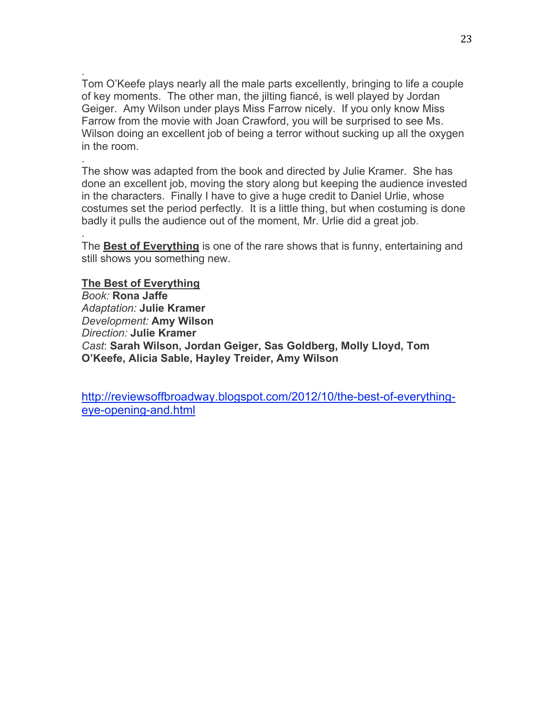. Tom O'Keefe plays nearly all the male parts excellently, bringing to life a couple of key moments. The other man, the jilting fiancé, is well played by Jordan Geiger. Amy Wilson under plays Miss Farrow nicely. If you only know Miss Farrow from the movie with Joan Crawford, you will be surprised to see Ms. Wilson doing an excellent job of being a terror without sucking up all the oxygen in the room.

. The show was adapted from the book and directed by Julie Kramer. She has done an excellent job, moving the story along but keeping the audience invested in the characters. Finally I have to give a huge credit to Daniel Urlie, whose costumes set the period perfectly. It is a little thing, but when costuming is done badly it pulls the audience out of the moment, Mr. Urlie did a great job.

The **Best of Everything** is one of the rare shows that is funny, entertaining and still shows you something new.

**The Best of Everything** *Book:* **Rona Jaffe** *Adaptation:* **Julie Kramer** *Development:* **Amy Wilson** *Direction:* **Julie Kramer** *Cast*: **Sarah Wilson, Jordan Geiger, Sas Goldberg, Molly Lloyd, Tom O'Keefe, Alicia Sable, Hayley Treider, Amy Wilson**

.

http://reviewsoffbroadway.blogspot.com/2012/10/the-best-of-everythingeye-opening-and.html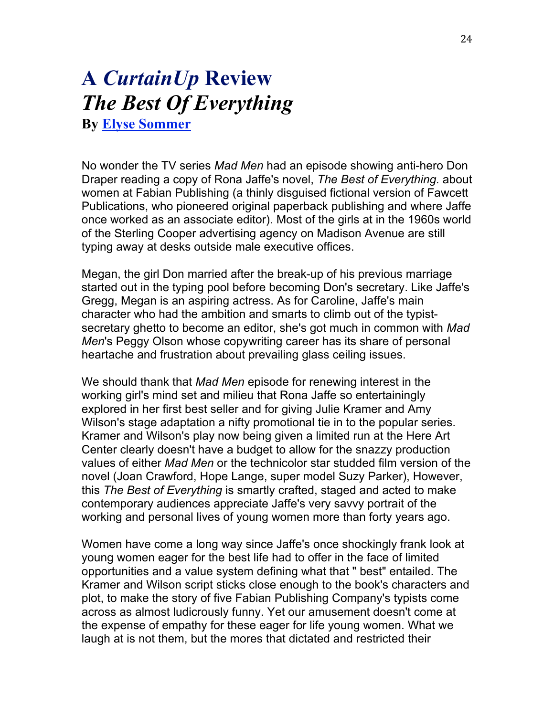### **A** *CurtainUp* **Review** *The Best Of Everything* **By Elyse Sommer**

No wonder the TV series *Mad Men* had an episode showing anti-hero Don Draper reading a copy of Rona Jaffe's novel, *The Best of Everything.* about women at Fabian Publishing (a thinly disguised fictional version of Fawcett Publications, who pioneered original paperback publishing and where Jaffe once worked as an associate editor). Most of the girls at in the 1960s world of the Sterling Cooper advertising agency on Madison Avenue are still typing away at desks outside male executive offices.

Megan, the girl Don married after the break-up of his previous marriage started out in the typing pool before becoming Don's secretary. Like Jaffe's Gregg, Megan is an aspiring actress. As for Caroline, Jaffe's main character who had the ambition and smarts to climb out of the typistsecretary ghetto to become an editor, she's got much in common with *Mad Men*'s Peggy Olson whose copywriting career has its share of personal heartache and frustration about prevailing glass ceiling issues.

We should thank that *Mad Men* episode for renewing interest in the working girl's mind set and milieu that Rona Jaffe so entertainingly explored in her first best seller and for giving Julie Kramer and Amy Wilson's stage adaptation a nifty promotional tie in to the popular series. Kramer and Wilson's play now being given a limited run at the Here Art Center clearly doesn't have a budget to allow for the snazzy production values of either *Mad Men* or the technicolor star studded film version of the novel (Joan Crawford, Hope Lange, super model Suzy Parker), However, this *The Best of Everything* is smartly crafted, staged and acted to make contemporary audiences appreciate Jaffe's very savvy portrait of the working and personal lives of young women more than forty years ago.

Women have come a long way since Jaffe's once shockingly frank look at young women eager for the best life had to offer in the face of limited opportunities and a value system defining what that " best" entailed. The Kramer and Wilson script sticks close enough to the book's characters and plot, to make the story of five Fabian Publishing Company's typists come across as almost ludicrously funny. Yet our amusement doesn't come at the expense of empathy for these eager for life young women. What we laugh at is not them, but the mores that dictated and restricted their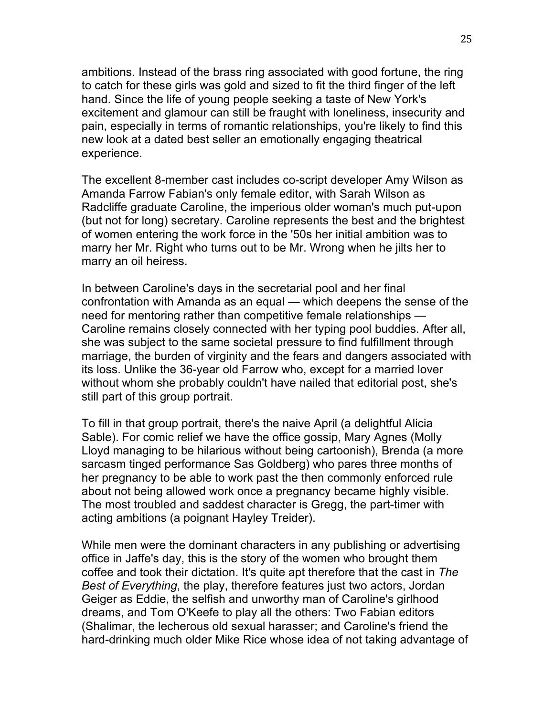ambitions. Instead of the brass ring associated with good fortune, the ring to catch for these girls was gold and sized to fit the third finger of the left hand. Since the life of young people seeking a taste of New York's excitement and glamour can still be fraught with loneliness, insecurity and pain, especially in terms of romantic relationships, you're likely to find this new look at a dated best seller an emotionally engaging theatrical experience.

The excellent 8-member cast includes co-script developer Amy Wilson as Amanda Farrow Fabian's only female editor, with Sarah Wilson as Radcliffe graduate Caroline, the imperious older woman's much put-upon (but not for long) secretary. Caroline represents the best and the brightest of women entering the work force in the '50s her initial ambition was to marry her Mr. Right who turns out to be Mr. Wrong when he jilts her to marry an oil heiress.

In between Caroline's days in the secretarial pool and her final confrontation with Amanda as an equal — which deepens the sense of the need for mentoring rather than competitive female relationships — Caroline remains closely connected with her typing pool buddies. After all, she was subject to the same societal pressure to find fulfillment through marriage, the burden of virginity and the fears and dangers associated with its loss. Unlike the 36-year old Farrow who, except for a married lover without whom she probably couldn't have nailed that editorial post, she's still part of this group portrait.

To fill in that group portrait, there's the naive April (a delightful Alicia Sable). For comic relief we have the office gossip, Mary Agnes (Molly Lloyd managing to be hilarious without being cartoonish), Brenda (a more sarcasm tinged performance Sas Goldberg) who pares three months of her pregnancy to be able to work past the then commonly enforced rule about not being allowed work once a pregnancy became highly visible. The most troubled and saddest character is Gregg, the part-timer with acting ambitions (a poignant Hayley Treider).

While men were the dominant characters in any publishing or advertising office in Jaffe's day, this is the story of the women who brought them coffee and took their dictation. It's quite apt therefore that the cast in *The Best of Everything*, the play, therefore features just two actors, Jordan Geiger as Eddie, the selfish and unworthy man of Caroline's girlhood dreams, and Tom O'Keefe to play all the others: Two Fabian editors (Shalimar, the lecherous old sexual harasser; and Caroline's friend the hard-drinking much older Mike Rice whose idea of not taking advantage of